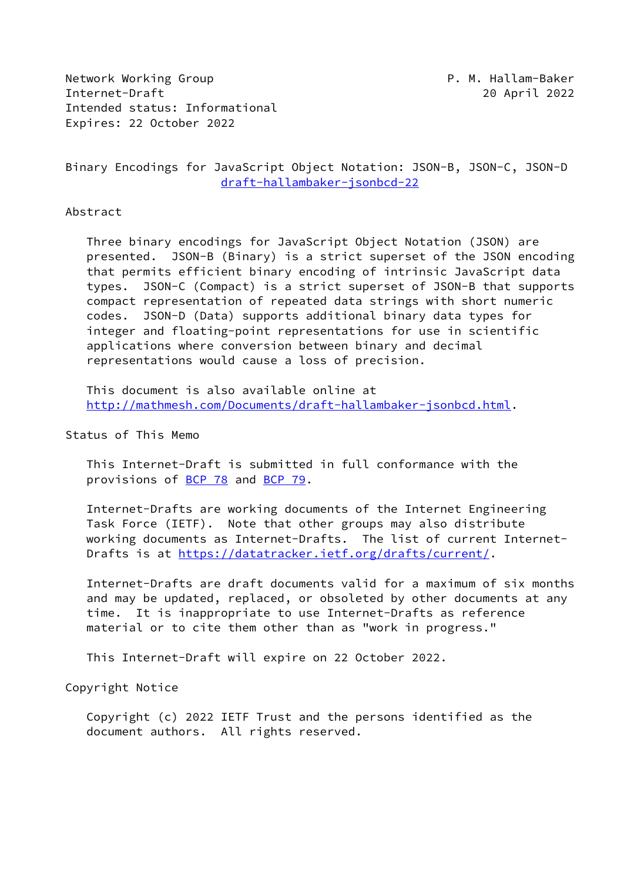Network Working Group **P.M. Hallam-Baker** Internet-Draft 20 April 2022 Intended status: Informational Expires: 22 October 2022

Binary Encodings for JavaScript Object Notation: JSON-B, JSON-C, JSON-D [draft-hallambaker-jsonbcd-22](https://datatracker.ietf.org/doc/pdf/draft-hallambaker-jsonbcd-22)

#### Abstract

 Three binary encodings for JavaScript Object Notation (JSON) are presented. JSON-B (Binary) is a strict superset of the JSON encoding that permits efficient binary encoding of intrinsic JavaScript data types. JSON-C (Compact) is a strict superset of JSON-B that supports compact representation of repeated data strings with short numeric codes. JSON-D (Data) supports additional binary data types for integer and floating-point representations for use in scientific applications where conversion between binary and decimal representations would cause a loss of precision.

 This document is also available online at <http://mathmesh.com/Documents/draft-hallambaker-jsonbcd.html>.

### Status of This Memo

 This Internet-Draft is submitted in full conformance with the provisions of [BCP 78](https://datatracker.ietf.org/doc/pdf/bcp78) and [BCP 79](https://datatracker.ietf.org/doc/pdf/bcp79).

 Internet-Drafts are working documents of the Internet Engineering Task Force (IETF). Note that other groups may also distribute working documents as Internet-Drafts. The list of current Internet- Drafts is at<https://datatracker.ietf.org/drafts/current/>.

 Internet-Drafts are draft documents valid for a maximum of six months and may be updated, replaced, or obsoleted by other documents at any time. It is inappropriate to use Internet-Drafts as reference material or to cite them other than as "work in progress."

This Internet-Draft will expire on 22 October 2022.

Copyright Notice

 Copyright (c) 2022 IETF Trust and the persons identified as the document authors. All rights reserved.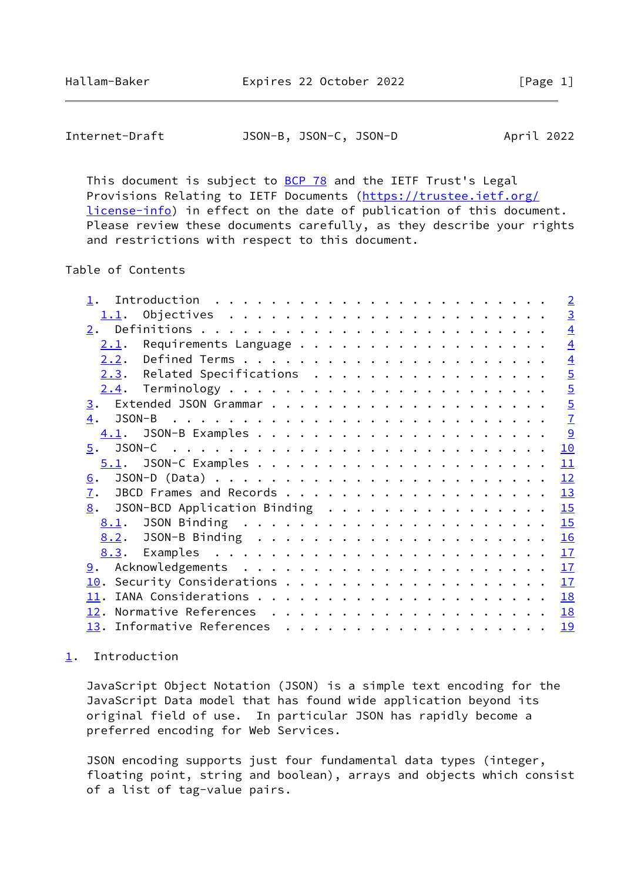<span id="page-1-1"></span>

| Internet-Draft | JSON-B, JSON-C, JSON-D |  |  | April 2022 |  |
|----------------|------------------------|--|--|------------|--|
|----------------|------------------------|--|--|------------|--|

This document is subject to **[BCP 78](https://datatracker.ietf.org/doc/pdf/bcp78)** and the IETF Trust's Legal Provisions Relating to IETF Documents ([https://trustee.ietf.org/](https://trustee.ietf.org/license-info) [license-info](https://trustee.ietf.org/license-info)) in effect on the date of publication of this document. Please review these documents carefully, as they describe your rights and restrictions with respect to this document.

Table of Contents

|  |  |  | $\overline{2}$                                                                             |
|--|--|--|--------------------------------------------------------------------------------------------|
|  |  |  | $\overline{3}$                                                                             |
|  |  |  | $\overline{4}$                                                                             |
|  |  |  | $\overline{4}$                                                                             |
|  |  |  | $\overline{4}$                                                                             |
|  |  |  | $\overline{5}$                                                                             |
|  |  |  | $\overline{5}$                                                                             |
|  |  |  | $\overline{5}$                                                                             |
|  |  |  | $\overline{1}$                                                                             |
|  |  |  | <u>୨</u>                                                                                   |
|  |  |  | 10                                                                                         |
|  |  |  | 11                                                                                         |
|  |  |  | 12                                                                                         |
|  |  |  | 13                                                                                         |
|  |  |  | 15                                                                                         |
|  |  |  | 15                                                                                         |
|  |  |  | 16                                                                                         |
|  |  |  | 17                                                                                         |
|  |  |  | 17                                                                                         |
|  |  |  | 17                                                                                         |
|  |  |  | 18                                                                                         |
|  |  |  | 18                                                                                         |
|  |  |  | 19                                                                                         |
|  |  |  | Requirements Language<br>$2.3$ . Related Specifications<br>8. JSON-BCD Application Binding |

# <span id="page-1-0"></span>[1](#page-1-0). Introduction

 JavaScript Object Notation (JSON) is a simple text encoding for the JavaScript Data model that has found wide application beyond its original field of use. In particular JSON has rapidly become a preferred encoding for Web Services.

 JSON encoding supports just four fundamental data types (integer, floating point, string and boolean), arrays and objects which consist of a list of tag-value pairs.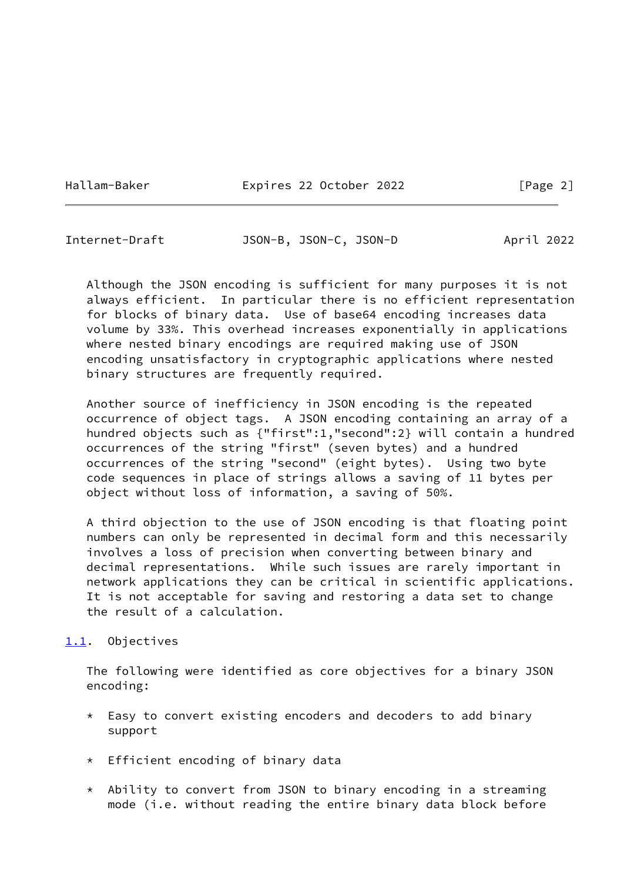Hallam-Baker **Expires 22 October 2022** [Page 2]

<span id="page-2-1"></span>Internet-Draft JSON-B, JSON-C, JSON-D April 2022

 Although the JSON encoding is sufficient for many purposes it is not always efficient. In particular there is no efficient representation for blocks of binary data. Use of base64 encoding increases data volume by 33%. This overhead increases exponentially in applications where nested binary encodings are required making use of JSON encoding unsatisfactory in cryptographic applications where nested binary structures are frequently required.

 Another source of inefficiency in JSON encoding is the repeated occurrence of object tags. A JSON encoding containing an array of a hundred objects such as {"first":1,"second":2} will contain a hundred occurrences of the string "first" (seven bytes) and a hundred occurrences of the string "second" (eight bytes). Using two byte code sequences in place of strings allows a saving of 11 bytes per object without loss of information, a saving of 50%.

 A third objection to the use of JSON encoding is that floating point numbers can only be represented in decimal form and this necessarily involves a loss of precision when converting between binary and decimal representations. While such issues are rarely important in network applications they can be critical in scientific applications. It is not acceptable for saving and restoring a data set to change the result of a calculation.

# <span id="page-2-0"></span>[1.1](#page-2-0). Objectives

 The following were identified as core objectives for a binary JSON encoding:

- \* Easy to convert existing encoders and decoders to add binary support
- \* Efficient encoding of binary data
- \* Ability to convert from JSON to binary encoding in a streaming mode (i.e. without reading the entire binary data block before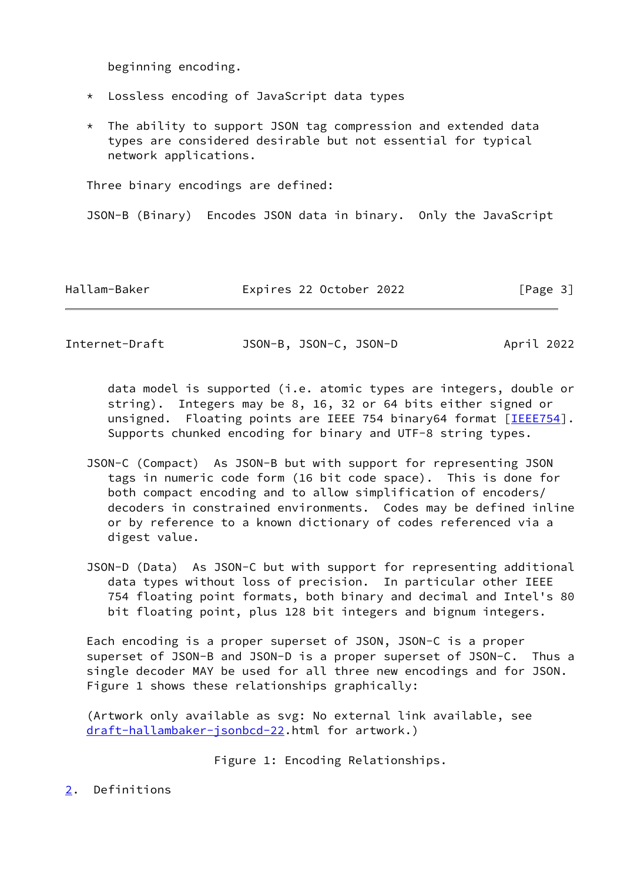beginning encoding.

- \* Lossless encoding of JavaScript data types
- \* The ability to support JSON tag compression and extended data types are considered desirable but not essential for typical network applications.

Three binary encodings are defined:

JSON-B (Binary) Encodes JSON data in binary. Only the JavaScript

| Hallam-Baker<br>Expires 22 October 2022 | [Page 3] |
|-----------------------------------------|----------|
|-----------------------------------------|----------|

<span id="page-3-1"></span>Internet-Draft JSON-B, JSON-C, JSON-D April 2022

 data model is supported (i.e. atomic types are integers, double or string). Integers may be 8, 16, 32 or 64 bits either signed or unsigned. Floating points are IEEE 754 binary64 format [[IEEE754\]](#page-19-4). Supports chunked encoding for binary and UTF-8 string types.

- JSON-C (Compact) As JSON-B but with support for representing JSON tags in numeric code form (16 bit code space). This is done for both compact encoding and to allow simplification of encoders/ decoders in constrained environments. Codes may be defined inline or by reference to a known dictionary of codes referenced via a digest value.
- JSON-D (Data) As JSON-C but with support for representing additional data types without loss of precision. In particular other IEEE 754 floating point formats, both binary and decimal and Intel's 80 bit floating point, plus 128 bit integers and bignum integers.

 Each encoding is a proper superset of JSON, JSON-C is a proper superset of JSON-B and JSON-D is a proper superset of JSON-C. Thus a single decoder MAY be used for all three new encodings and for JSON. Figure 1 shows these relationships graphically:

 (Artwork only available as svg: No external link available, see [draft-hallambaker-jsonbcd-22](https://datatracker.ietf.org/doc/pdf/draft-hallambaker-jsonbcd-22).html for artwork.)

Figure 1: Encoding Relationships.

<span id="page-3-0"></span>[2](#page-3-0). Definitions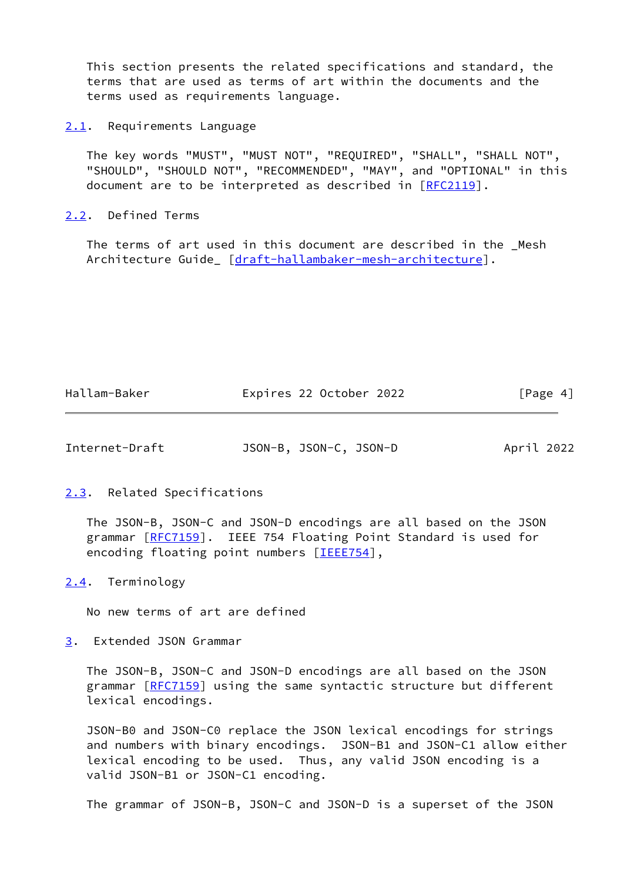This section presents the related specifications and standard, the terms that are used as terms of art within the documents and the terms used as requirements language.

<span id="page-4-0"></span>[2.1](#page-4-0). Requirements Language

 The key words "MUST", "MUST NOT", "REQUIRED", "SHALL", "SHALL NOT", "SHOULD", "SHOULD NOT", "RECOMMENDED", "MAY", and "OPTIONAL" in this document are to be interpreted as described in [\[RFC2119](https://datatracker.ietf.org/doc/pdf/rfc2119)].

<span id="page-4-1"></span>[2.2](#page-4-1). Defined Terms

 The terms of art used in this document are described in the \_Mesh Architecture Guide\_ [\[draft-hallambaker-mesh-architecture](https://datatracker.ietf.org/doc/pdf/draft-hallambaker-mesh-architecture)].

| Hallam-Baker | Expires 22 October 2022 | [Page 4] |
|--------------|-------------------------|----------|
|--------------|-------------------------|----------|

<span id="page-4-3"></span>

| Internet-Draft | JSON-B, JSON-C, JSON-D | April 2022 |
|----------------|------------------------|------------|
|----------------|------------------------|------------|

<span id="page-4-2"></span>[2.3](#page-4-2). Related Specifications

 The JSON-B, JSON-C and JSON-D encodings are all based on the JSON grammar [\[RFC7159](https://datatracker.ietf.org/doc/pdf/rfc7159)]. IEEE 754 Floating Point Standard is used for encoding floating point numbers [\[IEEE754](#page-19-4)],

<span id="page-4-4"></span>[2.4](#page-4-4). Terminology

No new terms of art are defined

<span id="page-4-5"></span>[3](#page-4-5). Extended JSON Grammar

 The JSON-B, JSON-C and JSON-D encodings are all based on the JSON grammar [\[RFC7159](https://datatracker.ietf.org/doc/pdf/rfc7159)] using the same syntactic structure but different lexical encodings.

 JSON-B0 and JSON-C0 replace the JSON lexical encodings for strings and numbers with binary encodings. JSON-B1 and JSON-C1 allow either lexical encoding to be used. Thus, any valid JSON encoding is a valid JSON-B1 or JSON-C1 encoding.

The grammar of JSON-B, JSON-C and JSON-D is a superset of the JSON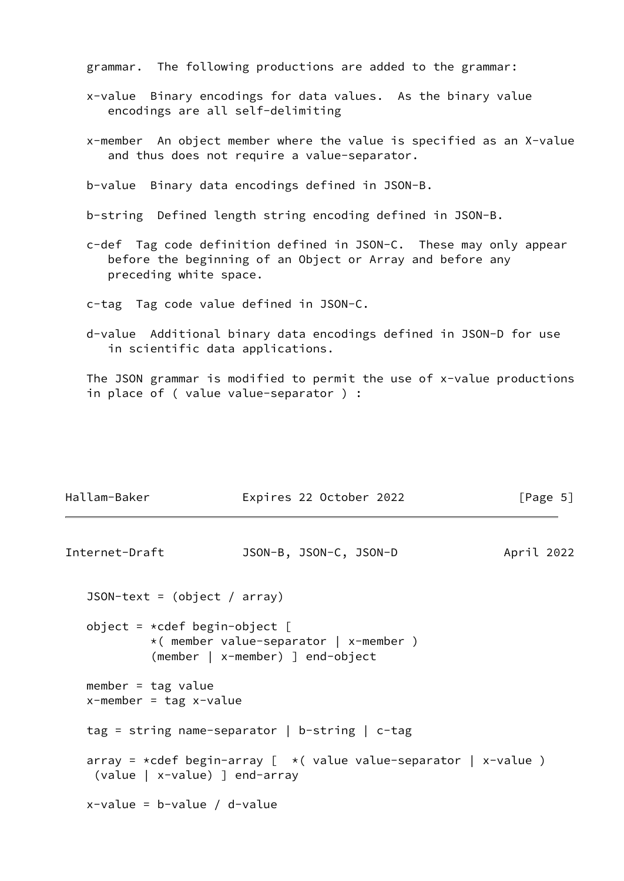grammar. The following productions are added to the grammar:

- x-value Binary encodings for data values. As the binary value encodings are all self-delimiting
- x-member An object member where the value is specified as an X-value and thus does not require a value-separator.

b-value Binary data encodings defined in JSON-B.

- b-string Defined length string encoding defined in JSON-B.
- c-def Tag code definition defined in JSON-C. These may only appear before the beginning of an Object or Array and before any preceding white space.
- c-tag Tag code value defined in JSON-C.
- d-value Additional binary data encodings defined in JSON-D for use in scientific data applications.

 The JSON grammar is modified to permit the use of x-value productions in place of ( value value-separator ) :

| Hallam-Baker                                         | Expires 22 October 2022                                                    | [Page $5$ ] |
|------------------------------------------------------|----------------------------------------------------------------------------|-------------|
| Internet-Draft                                       | JSON-B, JSON-C, JSON-D                                                     | April 2022  |
| $JSON-text = (object / array)$                       |                                                                            |             |
| object = $*$ cdef begin-object [                     | *( member value-separator   x-member )<br>(member   x-member) ] end-object |             |
| member = $tag$ value<br>$x$ -member = tag $x$ -value |                                                                            |             |
|                                                      | $tag$ = string name-separator   b-string   c-tag                           |             |
| (value   x-value) ] end-array                        | array = *cdef begin-array [ $\star$ (value value-separator   x-value )     |             |
| $x$ -value = b-value / d-value                       |                                                                            |             |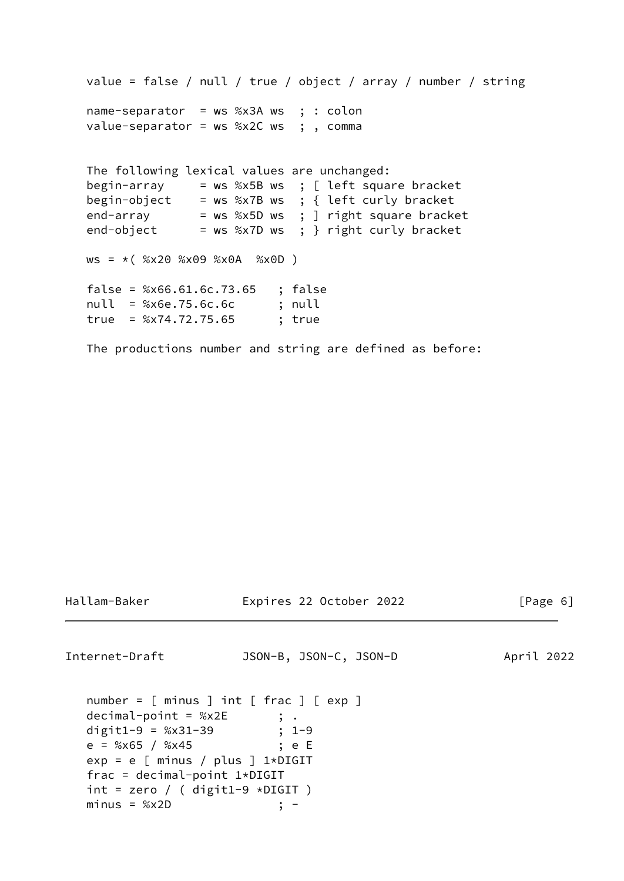```
 value = false / null / true / object / array / number / string
   name-separator = ws %x3A ws ; : colon
   value-separator = ws %x2C ws ; , comma
   The following lexical values are unchanged:
   begin-array = ws %x5B ws ; [ left square bracket
 begin-object = ws %x7B ws ; { left curly bracket
 end-array = ws %x5D ws ; ] right square bracket
 end-object = ws %x7D ws ; } right curly bracket
  ws = * ( %x20 %x09 %x0A %x0D )
   false = %x66.61.6c.73.65 ; false
   null = %x6e.75.6c.6c ; null
   true = %x74.72.75.65 ; true
```
The productions number and string are defined as before:

Hallam-Baker Expires 22 October 2022 [Page 6]

<span id="page-6-0"></span>Internet-Draft JSON-B, JSON-C, JSON-D April 2022

```
 number = [ minus ] int [ frac ] [ exp ]
  decimal-point = %x2E ; .
 digit1-9 = %x31-39 ; 1-9
 e = %x65 / %x45 ; e E
  exp = e [ minus / plus ] 1*DIGIT
   frac = decimal-point 1*DIGIT
  int = zero / ( digit1-9 * DIGIT)minus = %x2D ; -
```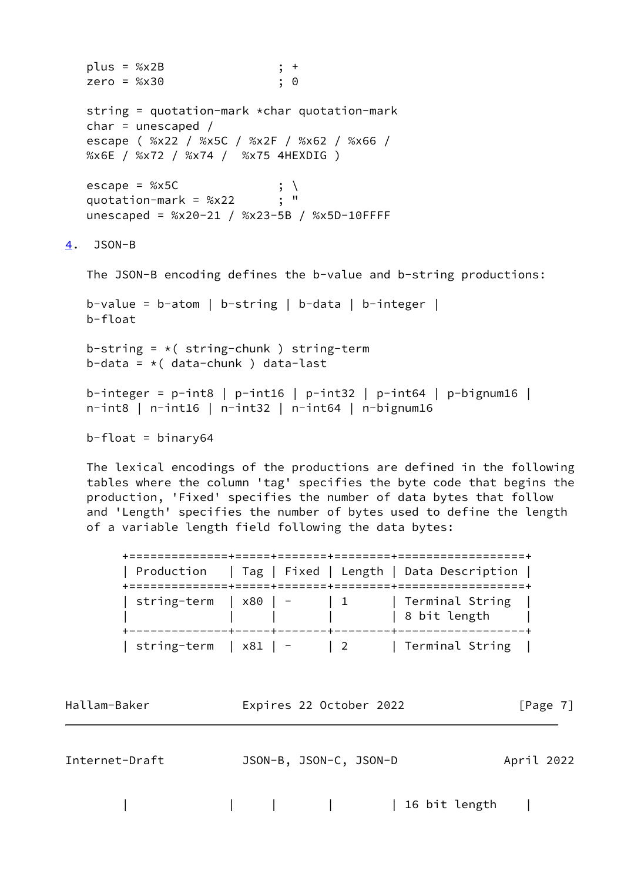```
 plus = %x2B ; +
    zero = %x30 ; 0
    string = quotation-mark *char quotation-mark
   char = unescaped / escape ( %x22 / %x5C / %x2F / %x62 / %x66 /
   %x6E / %x72 / %x74 / %x75 4HEXDIG )
  escape = %x5C \qquad; \,<br>quotation-mark = %x22 \qquad : "
  quotation-mark = %x22 unescaped = %x20-21 / %x23-5B / %x5D-10FFFF
4. JSON-B
   The JSON-B encoding defines the b-value and b-string productions:
   b-value = b-atom | b-string | b-data | b-integer |
    b-float
   b-string = *( string-chunk ) string-term
   b-data = *( data-chunk ) data-last
    b-integer = p-int8 | p-int16 | p-int32 | p-int64 | p-bignum16 |
    n-int8 | n-int16 | n-int32 | n-int64 | n-bignum16
  b-float = binary64
```
 The lexical encodings of the productions are defined in the following tables where the column 'tag' specifies the byte code that begins the production, 'Fixed' specifies the number of data bytes that follow and 'Length' specifies the number of bytes used to define the length of a variable length field following the data bytes:

|                               |                                      | Production   Tag   Fixed   Length   Data Description |
|-------------------------------|--------------------------------------|------------------------------------------------------|
| string-term   $\times 80$   - | $\begin{array}{ccc} & 1 \end{array}$ | Terminal String  <br>  8 bit length                  |
| string-term   x81   -         | $\frac{1}{2}$                        | Terminal String                                      |

Hallam-Baker **Expires 22 October 2022** [Page 7]

Internet-Draft JSON-B, JSON-C, JSON-D April 2022

| | | | | 16 bit length |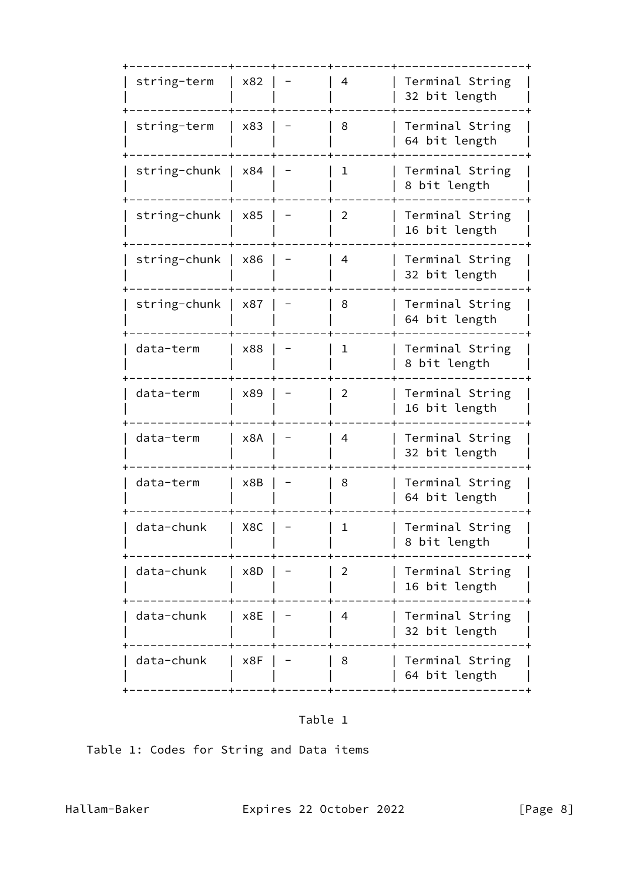| string-term  | x82 | 4              | Terminal String<br>32 bit length |
|--------------|-----|----------------|----------------------------------|
| string-term  | x83 | 8              | Terminal String<br>64 bit length |
| string-chunk | x84 | $\mathbf 1$    | Terminal String<br>8 bit length  |
| string-chunk | x85 | $\overline{2}$ | Terminal String<br>16 bit length |
| string-chunk | x86 | 4              | Terminal String<br>32 bit length |
| string-chunk | x87 | 8              | Terminal String<br>64 bit length |
| data-term    | x88 | $\mathbf{1}$   | Terminal String<br>8 bit length  |
| data-term    | x89 | $\overline{2}$ | Terminal String<br>16 bit length |
| data-term    | x8A | 4              | Terminal String<br>32 bit length |
| data-term    | x8B | 8              | Terminal String<br>64 bit length |
| data-chunk   | X8C | $\mathbf{1}$   | Terminal String<br>8 bit length  |
| data-chunk   | x8D | $\overline{2}$ | Terminal String<br>16 bit length |
| data-chunk   | x8E | 4              | Terminal String<br>32 bit length |
| data-chunk   | x8F | 8              | Terminal String<br>64 bit length |
|              |     |                |                                  |

# Table 1

Table 1: Codes for String and Data items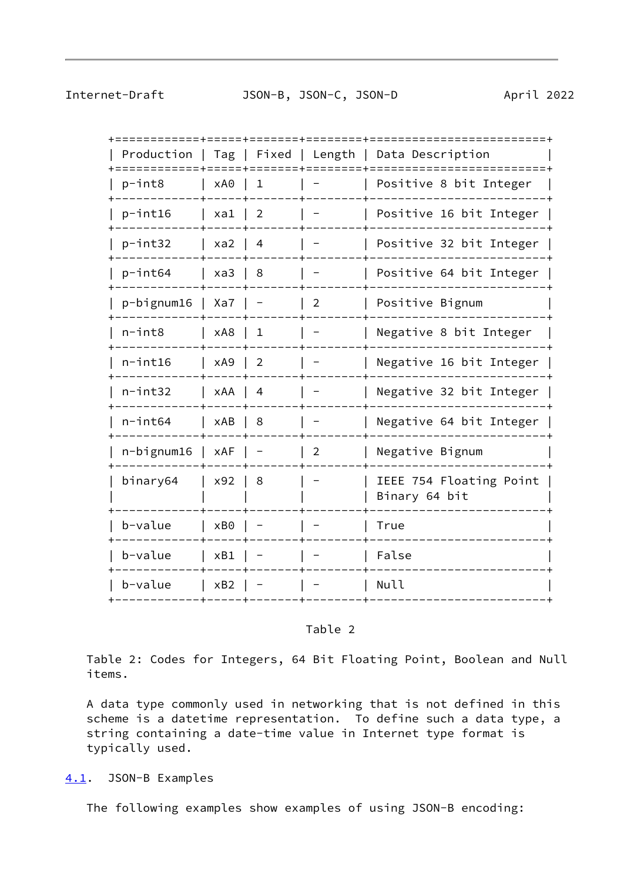<span id="page-9-1"></span>Internet-Draft JSON-B, JSON-C, JSON-D April 2022

| Production    |       | Tag   Fixed    | Length         | Data Description                         |
|---------------|-------|----------------|----------------|------------------------------------------|
| p-int8        | xA0   | 1              |                | Positive 8 bit Integer                   |
| p-int16       | $xa1$ | $\overline{2}$ |                | Positive 16 bit Integer                  |
| p-int32       | xa2   | $\overline{4}$ |                | Positive 32 bit Integer                  |
| p-int64       | xa3   | 8              |                | Positive 64 bit Integer                  |
| p-bignum16    | Xa7   |                | $\overline{2}$ | Positive Bignum                          |
| $n$ -int $8$  | xA8   | $\mathbf 1$    |                | Negative 8 bit Integer                   |
| $n$ -int $16$ | xA9   | $\overline{2}$ |                | Negative 16 bit Integer                  |
| $n$ -int $32$ | xAA   | $\overline{4}$ |                | Negative 32 bit Integer                  |
| $n$ -int $64$ | xAB   | 8              |                | Negative 64 bit Integer                  |
| n-bignum16    | xAF   |                | $\overline{2}$ | Negative Bignum                          |
| binary64      | x92   | 8              |                | IEEE 754 Floating Point<br>Binary 64 bit |
| b-value       | xB0   |                |                | True                                     |
| b-value       | xB1   |                |                | False                                    |
| b-value       | xB2   |                |                | Null                                     |
|               |       |                |                |                                          |

# Table 2

 Table 2: Codes for Integers, 64 Bit Floating Point, Boolean and Null items.

 A data type commonly used in networking that is not defined in this scheme is a datetime representation. To define such a data type, a string containing a date-time value in Internet type format is typically used.

<span id="page-9-0"></span>[4.1](#page-9-0). JSON-B Examples

The following examples show examples of using JSON-B encoding: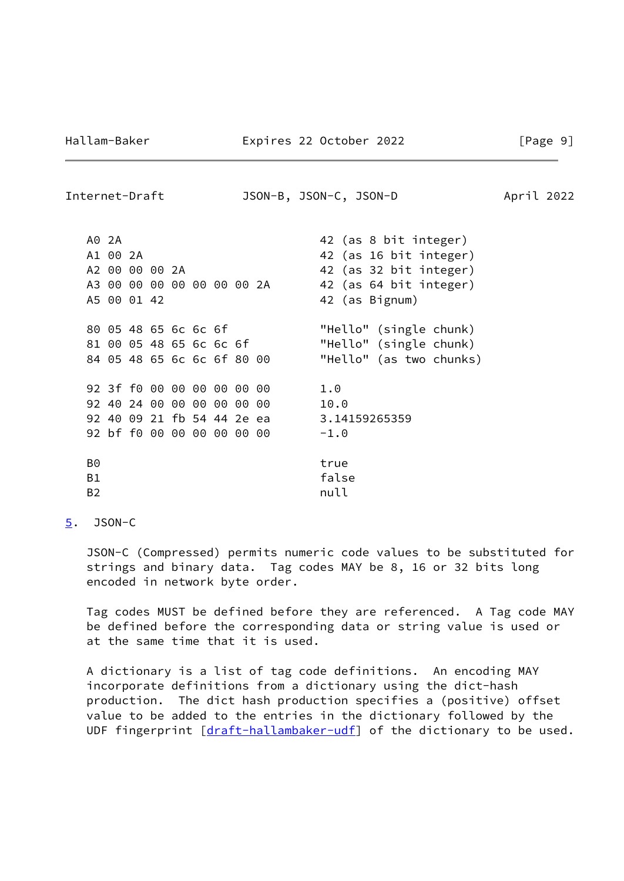<span id="page-10-1"></span>Internet-Draft JSON-B, JSON-C, JSON-D April 2022

|    | A0 2A          |  |                            |  | 42 (as 8 bit integer)   |
|----|----------------|--|----------------------------|--|-------------------------|
|    |                |  |                            |  |                         |
|    | A1 00 2A       |  |                            |  | 42 (as 16 bit integer)  |
|    | A2 00 00 00 2A |  |                            |  | 42 (as 32 bit integer)  |
|    |                |  | A3 00 00 00 00 00 00 00 2A |  | 42 (as 64 bit integer)  |
|    | A5 00 01 42    |  |                            |  | 42 (as Bignum)          |
|    |                |  | 80 05 48 65 6c 6c 6f       |  | "Hello" (single chunk)  |
|    |                |  | 81 00 05 48 65 6c 6c 6f    |  | "Hello" (single chunk)  |
|    |                |  | 84 05 48 65 6c 6c 6f 80 00 |  | "Hello" (as two chunks) |
|    |                |  |                            |  |                         |
|    |                |  | 92 3f f0 00 00 00 00 00 00 |  | 1.0                     |
|    |                |  | 92 40 24 00 00 00 00 00 00 |  | 10.0                    |
|    |                |  | 92 40 09 21 fb 54 44 2e ea |  | 3.14159265359           |
|    |                |  | 92 bf f0 00 00 00 00 00 00 |  | $-1.0$                  |
|    |                |  |                            |  |                         |
| B0 |                |  |                            |  | true                    |
| B1 |                |  |                            |  | false                   |
| B2 |                |  |                            |  | null                    |
|    |                |  |                            |  |                         |

<span id="page-10-0"></span>[5](#page-10-0). JSON-C

 JSON-C (Compressed) permits numeric code values to be substituted for strings and binary data. Tag codes MAY be 8, 16 or 32 bits long encoded in network byte order.

 Tag codes MUST be defined before they are referenced. A Tag code MAY be defined before the corresponding data or string value is used or at the same time that it is used.

 A dictionary is a list of tag code definitions. An encoding MAY incorporate definitions from a dictionary using the dict-hash production. The dict hash production specifies a (positive) offset value to be added to the entries in the dictionary followed by the UDF fingerprint [\[draft-hallambaker-udf](https://datatracker.ietf.org/doc/pdf/draft-hallambaker-udf)] of the dictionary to be used.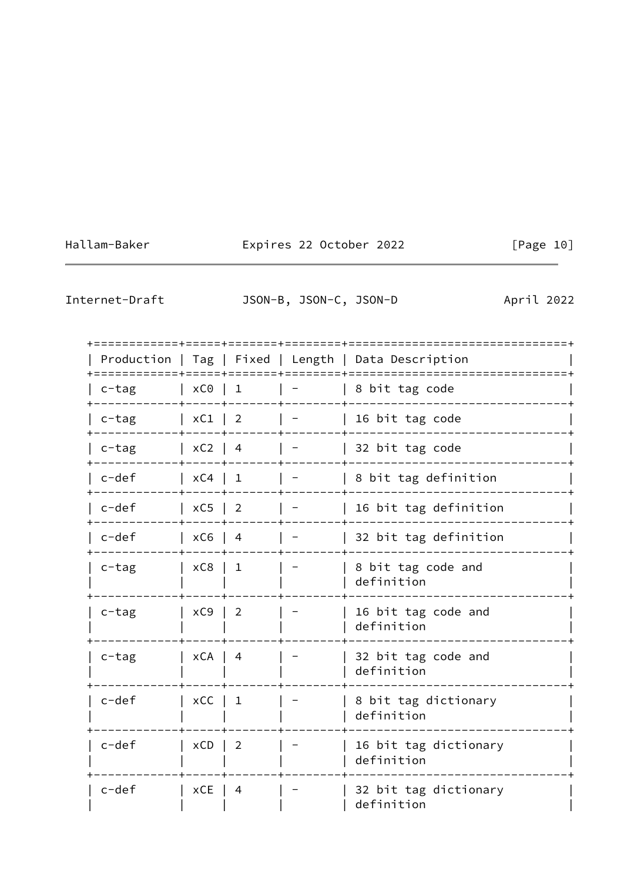Hallam-Baker Expires 22 October 2022 [Page 10]

<span id="page-11-0"></span>Internet-Draft JSON-B, JSON-C, JSON-D April 2022

| + = = = = = = = = = = = + = = = = + = = = = = = = + = = = = = = = = + |                       |                |                                                                 | Production   Tag   Fixed   Length   Data Description |
|-----------------------------------------------------------------------|-----------------------|----------------|-----------------------------------------------------------------|------------------------------------------------------|
| c-tag                                                                 | $\vert$ xC0 $\vert$ 1 |                |                                                                 | 8 bit tag code                                       |
| $c$ -tag                                                              | $\vert$ xC1 $\vert$ 2 |                | $\mathbf{1}$ and $\mathbf{1}$ and $\mathbf{1}$ and $\mathbf{1}$ | 16 bit tag code                                      |
| c-tag                                                                 | $\vert$ xC2 $\vert$ 4 |                |                                                                 | 32 bit tag code                                      |
| c-def                                                                 | $\vert$ xC4 $\vert$ 1 |                |                                                                 | 8 bit tag definition                                 |
| c-def                                                                 | $\vert$ xC5 $\vert$ 2 |                | $\vert \vert$                                                   | 16 bit tag definition                                |
| c-def                                                                 | $\vert$ xC6 $\vert$ 4 |                |                                                                 | 32 bit tag definition                                |
| c-tag                                                                 | xC8   1               |                |                                                                 | 8 bit tag code and<br>definition                     |
| c-tag                                                                 | $\vert$ xC9 $\vert$ 2 |                |                                                                 | 16 bit tag code and<br>definition                    |
| $c$ -tag                                                              | $\vert$ xCA $\vert$ 4 |                |                                                                 | 32 bit tag code and<br>definition                    |
| $c-def$                                                               | $\vert$ xCC $\vert$ 1 |                |                                                                 | 8 bit tag dictionary<br>definition                   |
| $c-def$                                                               | $\vert$ xCD $\vert$ 2 |                |                                                                 | 16 bit tag dictionary<br>definition                  |
| $c-def$                                                               | xCE                   | $\overline{4}$ |                                                                 | 32 bit tag dictionary<br>definition                  |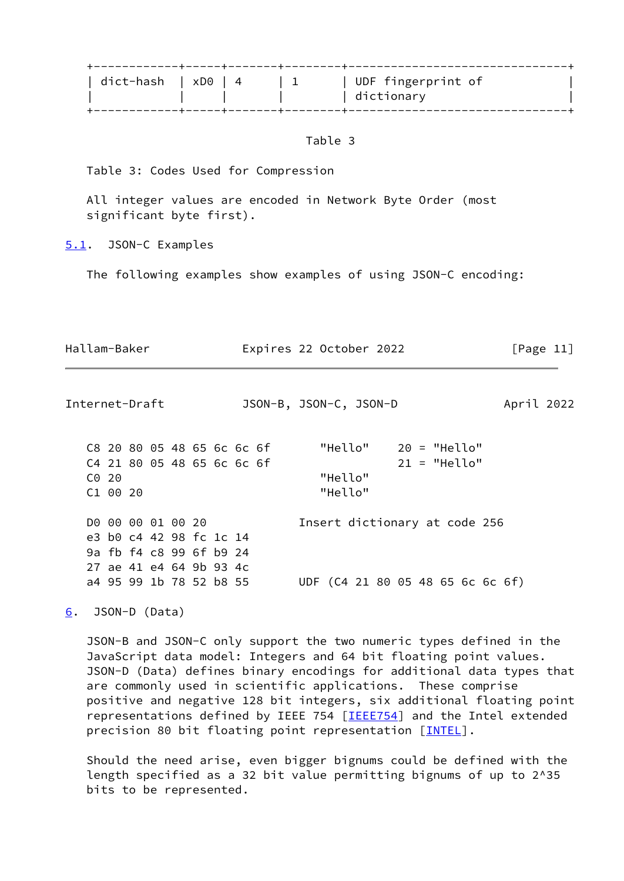| dict-hash   xD0   4 |  | UDF fingerprint of<br>dictionary |  |
|---------------------|--|----------------------------------|--|
|                     |  |                                  |  |

Table 3

Table 3: Codes Used for Compression

 All integer values are encoded in Network Byte Order (most significant byte first).

<span id="page-12-0"></span>[5.1](#page-12-0). JSON-C Examples

The following examples show examples of using JSON-C encoding:

| Hallam-Baker | Expires 22 October 2022 | [Page 11] |
|--------------|-------------------------|-----------|
|              |                         |           |
|              |                         |           |

<span id="page-12-2"></span>Internet-Draft JSON-B, JSON-C, JSON-D April 2022

 C8 20 80 05 48 65 6c 6c 6f "Hello" 20 = "Hello" C4 21 80 05 48 65 6c 6c 6f 21 = "Hello" C0 20 "Hello" C1 00 20 "Hello" D0 00 00 01 00 20 Insert dictionary at code 256 e3 b0 c4 42 98 fc 1c 14 9a fb f4 c8 99 6f b9 24 27 ae 41 e4 64 9b 93 4c a4 95 99 1b 78 52 b8 55 UDF (C4 21 80 05 48 65 6c 6c 6f)

<span id="page-12-1"></span>[6](#page-12-1). JSON-D (Data)

 JSON-B and JSON-C only support the two numeric types defined in the JavaScript data model: Integers and 64 bit floating point values. JSON-D (Data) defines binary encodings for additional data types that are commonly used in scientific applications. These comprise positive and negative 128 bit integers, six additional floating point representations defined by IEEE 754 [\[IEEE754](#page-19-4)] and the Intel extended precision 80 bit floating point representation [\[INTEL](#page-20-2)].

 Should the need arise, even bigger bignums could be defined with the length specified as a 32 bit value permitting bignums of up to 2^35 bits to be represented.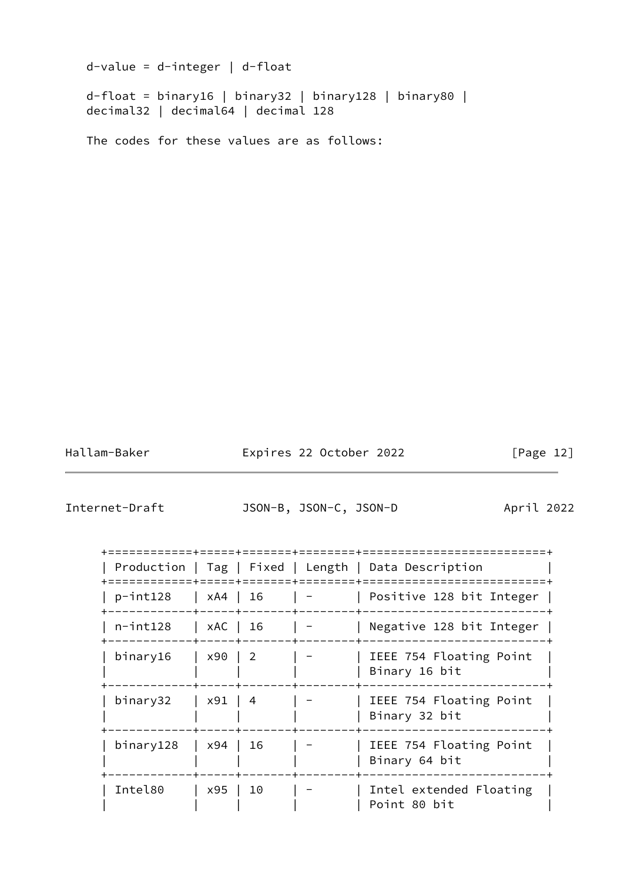d-value = d-integer | d-float d-float = binary16 | binary32 | binary128 | binary80 | decimal32 | decimal64 | decimal 128 The codes for these values are as follows:

Hallam-Baker **Expires 22 October 2022** [Page 12]

<span id="page-13-0"></span>Internet-Draft JSON-B, JSON-C, JSON-D April 2022

|                |                        |                            | Production   Tag   Fixed   Length   Data Description |
|----------------|------------------------|----------------------------|------------------------------------------------------|
| $p$ -int $128$ | $\vert$ xA4 $\vert$ 16 |                            | Positive 128 bit Integer                             |
| $n$ -int $128$ | xAC   16               |                            | Negative 128 bit Integer                             |
| binary16       | x90                    | $\overline{\phantom{0}}^2$ | IEEE 754 Floating Point<br>Binary 16 bit             |
| binary32       | x91   4                |                            | IEEE 754 Floating Point<br>Binary 32 bit             |
| binary128      | x94                    | 16                         | IEEE 754 Floating Point<br>Binary 64 bit             |
| Intel80        | x95                    | 10                         | Intel extended Floating<br>Point 80 bit              |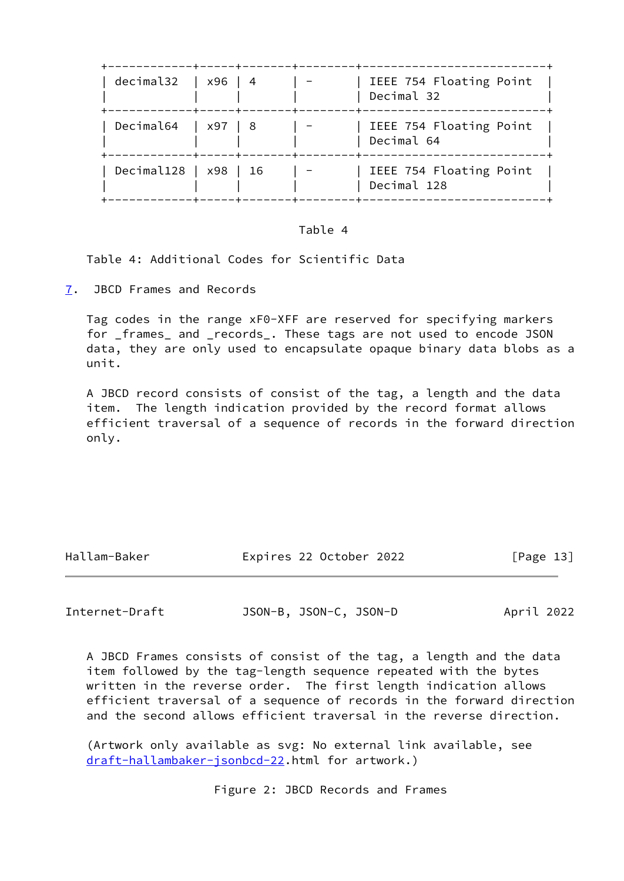| decimal32 $ $ x96 $ $ 4 |          |  | IEEE 754 Floating Point<br>Decimal 32  |
|-------------------------|----------|--|----------------------------------------|
| Decimal64   $x97$   8   | -+-----+ |  | IEEE 754 Floating Point<br>Decimal 64  |
| Decimal128   x98   16   |          |  | IEEE 754 Floating Point<br>Decimal 128 |

#### Table 4

Table 4: Additional Codes for Scientific Data

<span id="page-14-0"></span>[7](#page-14-0). JBCD Frames and Records

 Tag codes in the range xF0-XFF are reserved for specifying markers for \_frames\_ and \_records\_. These tags are not used to encode JSON data, they are only used to encapsulate opaque binary data blobs as a unit.

 A JBCD record consists of consist of the tag, a length and the data item. The length indication provided by the record format allows efficient traversal of a sequence of records in the forward direction only.

| Hallam-Baker |  |
|--------------|--|

|allam-Baker Expires 22 October 2022 [Page 13]

Internet-Draft JSON-B, JSON-C, JSON-D April 2022

 A JBCD Frames consists of consist of the tag, a length and the data item followed by the tag-length sequence repeated with the bytes written in the reverse order. The first length indication allows efficient traversal of a sequence of records in the forward direction and the second allows efficient traversal in the reverse direction.

 (Artwork only available as svg: No external link available, see [draft-hallambaker-jsonbcd-22](https://datatracker.ietf.org/doc/pdf/draft-hallambaker-jsonbcd-22).html for artwork.)

Figure 2: JBCD Records and Frames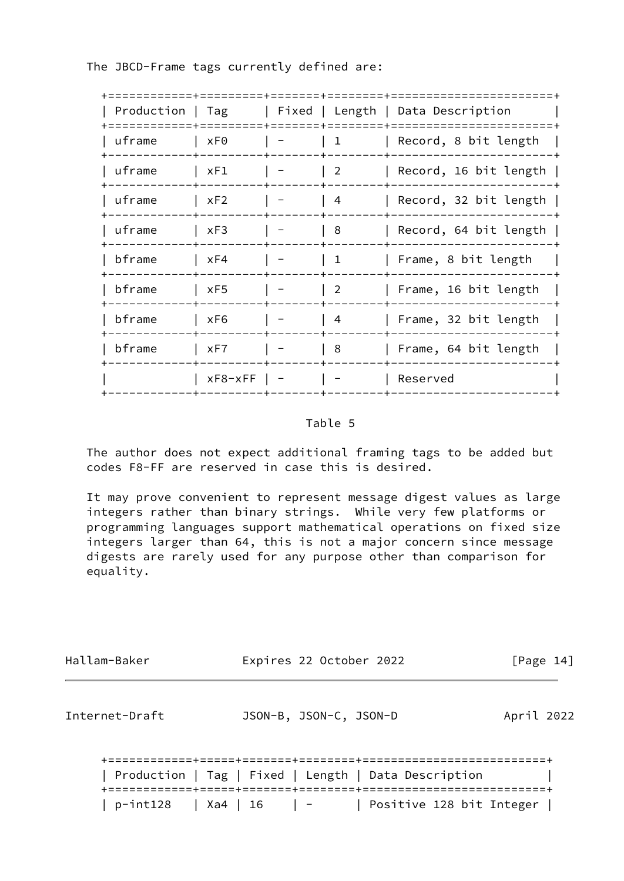The JBCD-Frame tags currently defined are:

|        |               |                                                                          | Production   Tag   Fixed   Length   Data Description |
|--------|---------------|--------------------------------------------------------------------------|------------------------------------------------------|
| uframe | xF0           | $\begin{array}{ccc} \end{array}$                                         | Record, 8 bit length                                 |
| uframe | $\vert$ xF1   | $\begin{array}{c} \begin{array}{c} \end{array} \end{array}$              | Record, 16 bit length                                |
| uframe | xF2           | $\begin{array}{c} \n \begin{array}{ccc} \n 4 \end{array} \n \end{array}$ | Record, 32 bit length                                |
| uframe | xF3           | 8                                                                        | Record, 64 bit length                                |
| bframe | xF4           | $\vert 1 \vert$                                                          | Frame, 8 bit length                                  |
| bframe | $\vert$ xF5   | $\begin{array}{c} \end{array}$                                           | Frame, 16 bit length                                 |
| bframe | xF6           | $\begin{array}{c} \n\end{array}$                                         | Frame, 32 bit length                                 |
| bframe | xF7           | $\mid 8$                                                                 | Frame, 64 bit length                                 |
|        | $xF8-xFF$   - |                                                                          | Reserved                                             |
|        |               |                                                                          |                                                      |

# Table 5

 The author does not expect additional framing tags to be added but codes F8-FF are reserved in case this is desired.

 It may prove convenient to represent message digest values as large integers rather than binary strings. While very few platforms or programming languages support mathematical operations on fixed size integers larger than 64, this is not a major concern since message digests are rarely used for any purpose other than comparison for equality.

<span id="page-15-0"></span>

| Hallam-Baker   | Expires 22 October 2022                              | [Page 14]  |
|----------------|------------------------------------------------------|------------|
| Internet-Draft | JSON-B, JSON-C, JSON-D                               | April 2022 |
|                | Production   Tag   Fixed   Length   Data Description |            |

| p-int128 | Xa4 | 16 | - | Positive 128 bit Integer |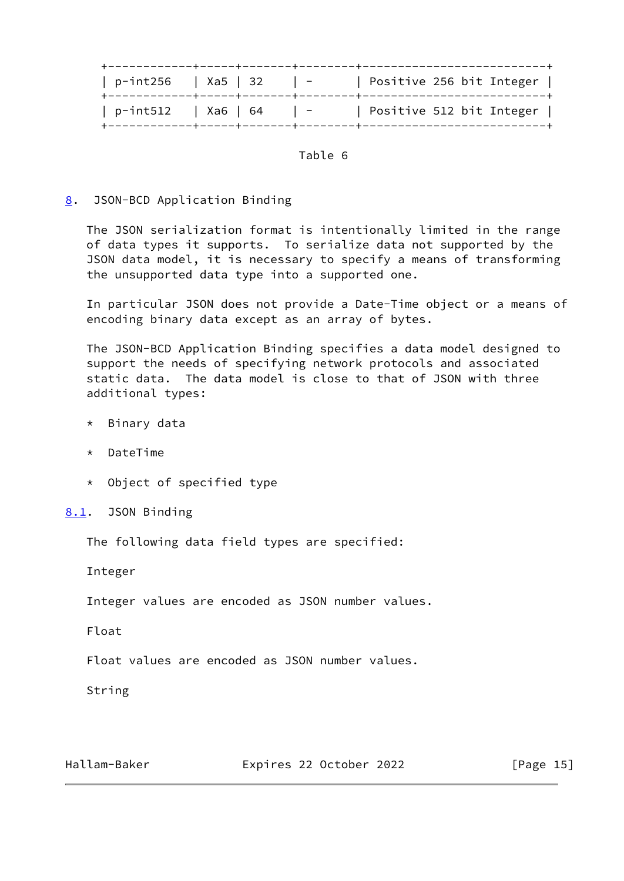| p-int256     Xa5   32 |  |                | Positive 256 bit Integer |
|-----------------------|--|----------------|--------------------------|
| p-int512   Xa6   64   |  | $\overline{a}$ | Positive 512 bit Integer |

## Table 6

# <span id="page-16-0"></span>[8](#page-16-0). JSON-BCD Application Binding

 The JSON serialization format is intentionally limited in the range of data types it supports. To serialize data not supported by the JSON data model, it is necessary to specify a means of transforming the unsupported data type into a supported one.

 In particular JSON does not provide a Date-Time object or a means of encoding binary data except as an array of bytes.

 The JSON-BCD Application Binding specifies a data model designed to support the needs of specifying network protocols and associated static data. The data model is close to that of JSON with three additional types:

- \* Binary data
- \* DateTime
- \* Object of specified type

<span id="page-16-1"></span>[8.1](#page-16-1). JSON Binding

The following data field types are specified:

Integer

Integer values are encoded as JSON number values.

Float

Float values are encoded as JSON number values.

String

Hallam-Baker **Expires 22 October 2022** [Page 15]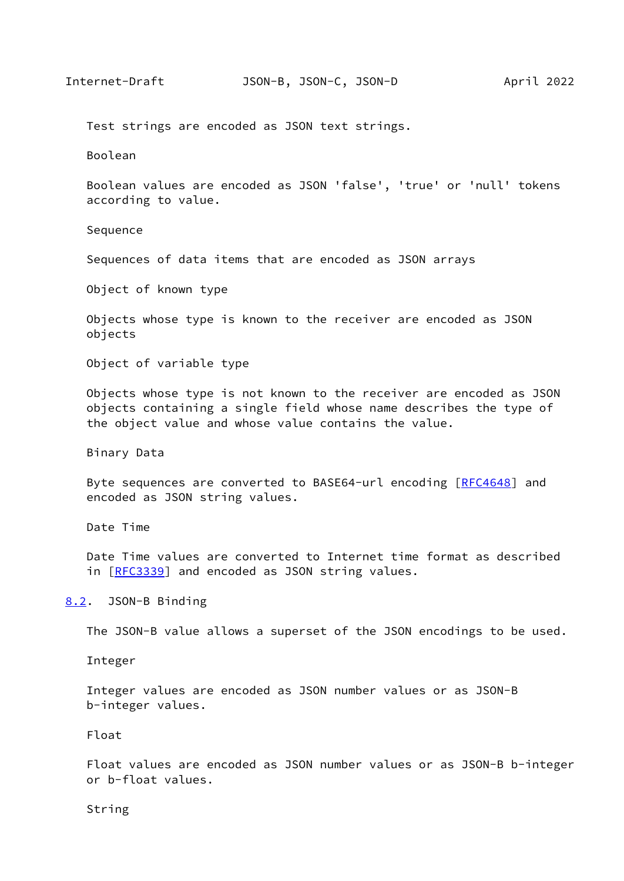<span id="page-17-1"></span>Test strings are encoded as JSON text strings.

Boolean

 Boolean values are encoded as JSON 'false', 'true' or 'null' tokens according to value.

Sequence

Sequences of data items that are encoded as JSON arrays

Object of known type

 Objects whose type is known to the receiver are encoded as JSON objects

Object of variable type

 Objects whose type is not known to the receiver are encoded as JSON objects containing a single field whose name describes the type of the object value and whose value contains the value.

Binary Data

Byte sequences are converted to BASE64-url encoding [\[RFC4648](https://datatracker.ietf.org/doc/pdf/rfc4648)] and encoded as JSON string values.

Date Time

 Date Time values are converted to Internet time format as described in [[RFC3339\]](https://datatracker.ietf.org/doc/pdf/rfc3339) and encoded as JSON string values.

<span id="page-17-0"></span>[8.2](#page-17-0). JSON-B Binding

The JSON-B value allows a superset of the JSON encodings to be used.

Integer

 Integer values are encoded as JSON number values or as JSON-B b-integer values.

Float

 Float values are encoded as JSON number values or as JSON-B b-integer or b-float values.

String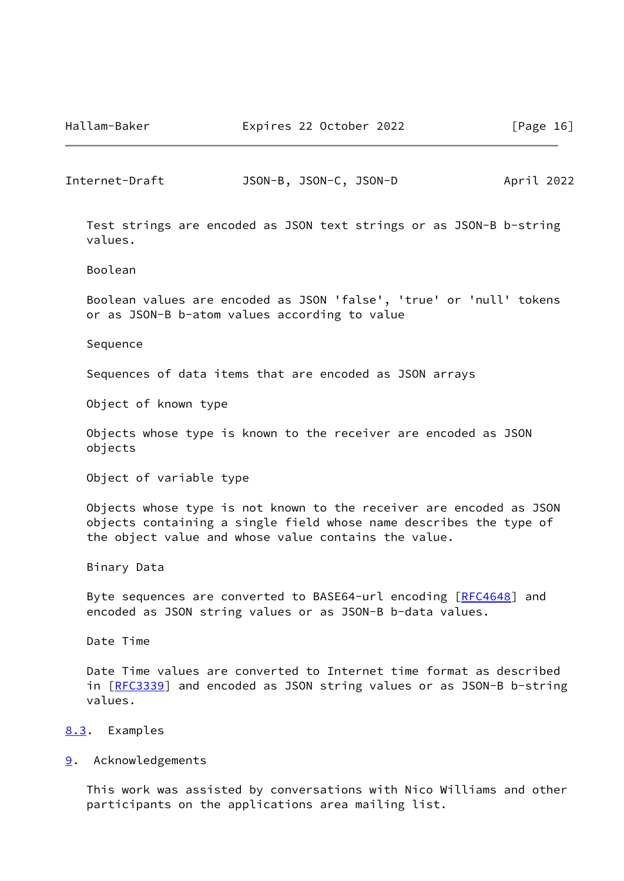<span id="page-18-1"></span>Internet-Draft JSON-B, JSON-C, JSON-D April 2022

 Test strings are encoded as JSON text strings or as JSON-B b-string values.

Boolean

 Boolean values are encoded as JSON 'false', 'true' or 'null' tokens or as JSON-B b-atom values according to value

Sequence

Sequences of data items that are encoded as JSON arrays

Object of known type

 Objects whose type is known to the receiver are encoded as JSON objects

Object of variable type

 Objects whose type is not known to the receiver are encoded as JSON objects containing a single field whose name describes the type of the object value and whose value contains the value.

Binary Data

Byte sequences are converted to BASE64-url encoding [\[RFC4648](https://datatracker.ietf.org/doc/pdf/rfc4648)] and encoded as JSON string values or as JSON-B b-data values.

Date Time

 Date Time values are converted to Internet time format as described in [[RFC3339\]](https://datatracker.ietf.org/doc/pdf/rfc3339) and encoded as JSON string values or as JSON-B b-string values.

#### <span id="page-18-0"></span>[8.3](#page-18-0). Examples

<span id="page-18-2"></span>[9](#page-18-2). Acknowledgements

 This work was assisted by conversations with Nico Williams and other participants on the applications area mailing list.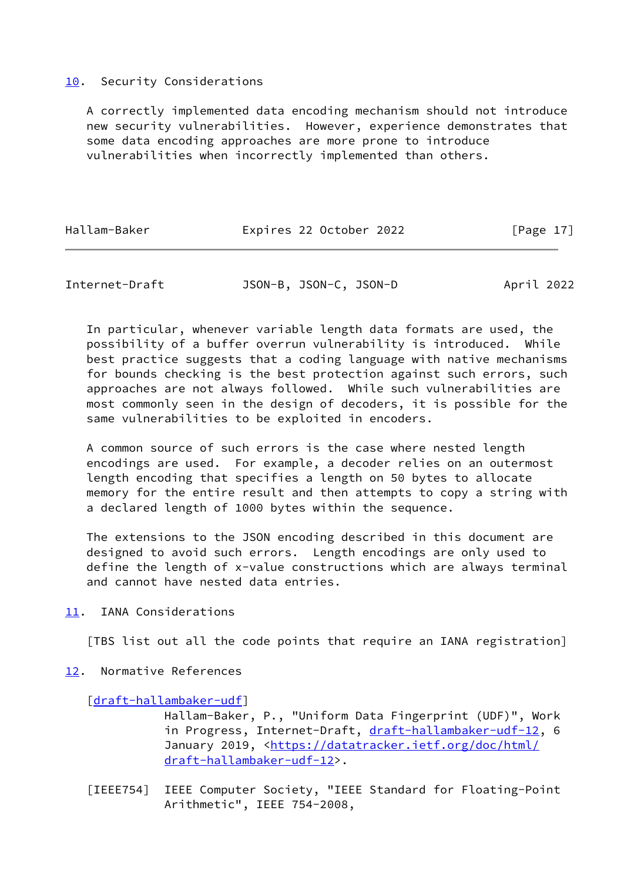#### <span id="page-19-0"></span>[10.](#page-19-0) Security Considerations

 A correctly implemented data encoding mechanism should not introduce new security vulnerabilities. However, experience demonstrates that some data encoding approaches are more prone to introduce vulnerabilities when incorrectly implemented than others.

| Hallam-Baker | Expires 22 October 2022 | [Page 17] |
|--------------|-------------------------|-----------|
|              |                         |           |

<span id="page-19-2"></span>Internet-Draft JSON-B, JSON-C, JSON-D April 2022

 In particular, whenever variable length data formats are used, the possibility of a buffer overrun vulnerability is introduced. While best practice suggests that a coding language with native mechanisms for bounds checking is the best protection against such errors, such approaches are not always followed. While such vulnerabilities are most commonly seen in the design of decoders, it is possible for the same vulnerabilities to be exploited in encoders.

 A common source of such errors is the case where nested length encodings are used. For example, a decoder relies on an outermost length encoding that specifies a length on 50 bytes to allocate memory for the entire result and then attempts to copy a string with a declared length of 1000 bytes within the sequence.

 The extensions to the JSON encoding described in this document are designed to avoid such errors. Length encodings are only used to define the length of x-value constructions which are always terminal and cannot have nested data entries.

<span id="page-19-1"></span>[11.](#page-19-1) IANA Considerations

[TBS list out all the code points that require an IANA registration]

<span id="page-19-3"></span>[12.](#page-19-3) Normative References

#### [\[draft-hallambaker-udf](https://datatracker.ietf.org/doc/pdf/draft-hallambaker-udf)]

 Hallam-Baker, P., "Uniform Data Fingerprint (UDF)", Work in Progress, Internet-Draft, [draft-hallambaker-udf-12](https://datatracker.ietf.org/doc/pdf/draft-hallambaker-udf-12), 6 January 2019, [<https://datatracker.ietf.org/doc/html/](https://datatracker.ietf.org/doc/html/draft-hallambaker-udf-12) [draft-hallambaker-udf-12>](https://datatracker.ietf.org/doc/html/draft-hallambaker-udf-12).

<span id="page-19-4"></span> [IEEE754] IEEE Computer Society, "IEEE Standard for Floating-Point Arithmetic", IEEE 754-2008,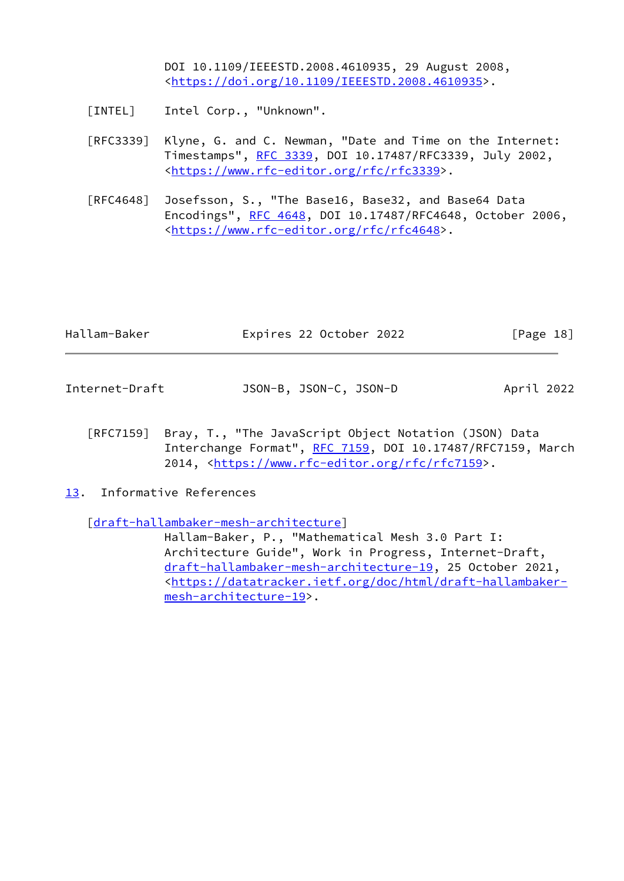DOI 10.1109/IEEESTD.2008.4610935, 29 August 2008, <[https://doi.org/10.1109/IEEESTD.2008.4610935>](https://doi.org/10.1109/IEEESTD.2008.4610935).

- <span id="page-20-2"></span>[INTEL] Intel Corp., "Unknown".
- [RFC3339] Klyne, G. and C. Newman, "Date and Time on the Internet: Timestamps", [RFC 3339](https://datatracker.ietf.org/doc/pdf/rfc3339), DOI 10.17487/RFC3339, July 2002, <<https://www.rfc-editor.org/rfc/rfc3339>>.
- [RFC4648] Josefsson, S., "The Base16, Base32, and Base64 Data Encodings", [RFC 4648,](https://datatracker.ietf.org/doc/pdf/rfc4648) DOI 10.17487/RFC4648, October 2006, <<https://www.rfc-editor.org/rfc/rfc4648>>.

<span id="page-20-1"></span>

| Hallam-Baker   | Expires 22 October 2022 | $\lceil \text{Page 18} \rceil$ |
|----------------|-------------------------|--------------------------------|
|                |                         |                                |
| Internet-Draft | JSON-B, JSON-C, JSON-D  | April 2022                     |

- [RFC7159] Bray, T., "The JavaScript Object Notation (JSON) Data Interchange Format", [RFC 7159](https://datatracker.ietf.org/doc/pdf/rfc7159), DOI 10.17487/RFC7159, March 2014, [<https://www.rfc-editor.org/rfc/rfc7159](https://www.rfc-editor.org/rfc/rfc7159)>.
- <span id="page-20-0"></span>[13.](#page-20-0) Informative References

[\[draft-hallambaker-mesh-architecture](https://datatracker.ietf.org/doc/pdf/draft-hallambaker-mesh-architecture)]

 Hallam-Baker, P., "Mathematical Mesh 3.0 Part I: Architecture Guide", Work in Progress, Internet-Draft, [draft-hallambaker-mesh-architecture-19](https://datatracker.ietf.org/doc/pdf/draft-hallambaker-mesh-architecture-19), 25 October 2021, <[https://datatracker.ietf.org/doc/html/draft-hallambaker](https://datatracker.ietf.org/doc/html/draft-hallambaker-mesh-architecture-19) [mesh-architecture-19>](https://datatracker.ietf.org/doc/html/draft-hallambaker-mesh-architecture-19).